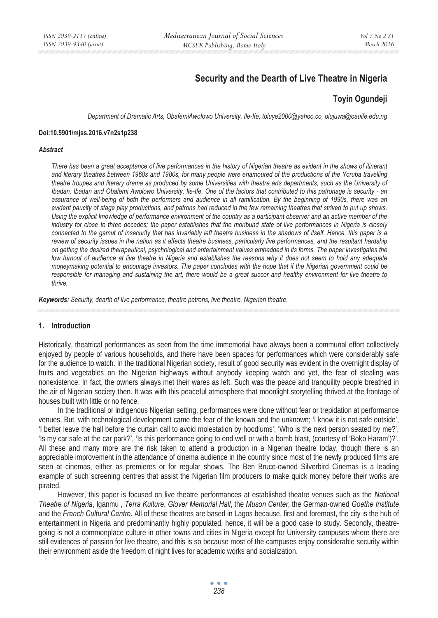# **Security and the Dearth of Live Theatre in Nigeria**

## **Toyin Ogundeji**

*Department of Dramatic Arts, ObafemiAwolowo University, Ile-Ife, toluye2000@yahoo.co, olujuwa@oauife.edu.ng* 

#### **Doi:10.5901/mjss.2016.v7n2s1p238**

#### *Abstract*

*There has been a great acceptance of live performances in the history of Nigerian theatre as evident in the shows of itinerant and literary theatres between 1960s and 1980s, for many people were enamoured of the productions of the Yoruba travelling theatre troupes and literary drama as produced by some Universities with theatre arts departments, such as the University of Ibadan, Ibadan and Obafemi Awolowo University, Ile-Ife. One of the factors that contributed to this patronage is security - an assurance of well-being of both the performers and audience in all ramification. By the beginning of 1990s, there was an evident paucity of stage play productions, and patrons had reduced in the few remaining theatres that strived to put up shows. Using the explicit knowledge of performance environment of the country as a participant observer and an active member of the industry for close to three decades; the paper establishes that the moribund state of live performances in Nigeria is closely connected to the gamut of insecurity that has invariably left theatre business in the shadows of itself. Hence, this paper is a review of security issues in the nation as it affects theatre business, particularly live performances, and the resultant hardship on getting the desired therapeutical, psychological and entertainment values embedded in its forms. The paper investigates the low turnout of audience at live theatre in Nigeria and establishes the reasons why it does not seem to hold any adequate moneymaking potential to encourage investors. The paper concludes with the hope that if the Nigerian government could be responsible for managing and sustaining the art, there would be a great succor and healthy environment for live theatre to thrive.* 

*Keywords: Security, dearth of live performance, theatre patrons, live theatre, Nigerian theatre.* 

#### **1. Introduction**

Historically, theatrical performances as seen from the time immemorial have always been a communal effort collectively enjoyed by people of various households, and there have been spaces for performances which were considerably safe for the audience to watch. In the traditional Nigerian society, result of good security was evident in the overnight display of fruits and vegetables on the Nigerian highways without anybody keeping watch and yet, the fear of stealing was nonexistence. In fact, the owners always met their wares as left. Such was the peace and tranquility people breathed in the air of Nigerian society then. It was with this peaceful atmosphere that moonlight storytelling thrived at the frontage of houses built with little or no fence.

In the traditional or indigenous Nigerian setting, performances were done without fear or trepidation at performance venues. But, with technological development came the fear of the known and the unknown; 'I know it is not safe outside', 'I better leave the hall before the curtain call to avoid molestation by hoodlums'; 'Who is the next person seated by me?', 'Is my car safe at the car park?', 'Is this performance going to end well or with a bomb blast, (courtesy of 'Boko Haram')?'. All these and many more are the risk taken to attend a production in a Nigerian theatre today, though there is an appreciable improvement in the attendance of cinema audience in the country since most of the newly produced films are seen at cinemas, either as premieres or for regular shows. The Ben Bruce-owned Silverbird Cinemas is a leading example of such screening centres that assist the Nigerian film producers to make quick money before their works are pirated.

However, this paper is focused on live theatre performances at established theatre venues such as the *National Theatre of Nigeria*, Iganmu , *Terra Kulture*, *Glover Memorial Hall*, the *Muson Center*, the German-owned *Goethe Institute* and the *French Cultural Centre.* All of these theatres are based in Lagos because, first and foremost, the city is the hub of entertainment in Nigeria and predominantly highly populated, hence, it will be a good case to study. Secondly, theatregoing is not a commonplace culture in other towns and cities in Nigeria except for University campuses where there are still evidences of passion for live theatre, and this is so because most of the campuses enjoy considerable security within their environment aside the freedom of night lives for academic works and socialization.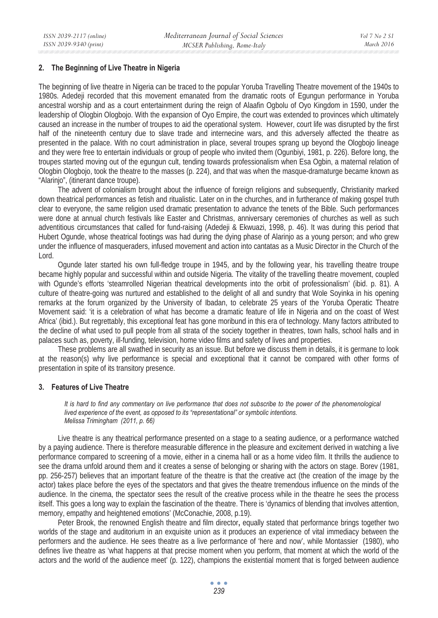#### **2. The Beginning of Live Theatre in Nigeria**

The beginning of live theatre in Nigeria can be traced to the popular Yoruba Travelling Theatre movement of the 1940s to 1980s. Adedeji recorded that this movement emanated from the dramatic roots of Egungun performance in Yoruba ancestral worship and as a court entertainment during the reign of Alaafin Ogbolu of Oyo Kingdom in 1590, under the leadership of Ologbin Ologbojo. With the expansion of Oyo Empire, the court was extended to provinces which ultimately caused an increase in the number of troupes to aid the operational system. However, court life was disrupted by the first half of the nineteenth century due to slave trade and internecine wars, and this adversely affected the theatre as presented in the palace. With no court administration in place, several troupes sprang up beyond the Ologbojo lineage and they were free to entertain individuals or group of people who invited them (Ogunbiyi, 1981, p. 226). Before long, the troupes started moving out of the egungun cult, tending towards professionalism when Esa Ogbin, a maternal relation of Ologbin Ologbojo, took the theatre to the masses (p. 224), and that was when the masque-dramaturge became known as "Alarinjo", (itinerant dance troupe).

The advent of colonialism brought about the influence of foreign religions and subsequently, Christianity marked down theatrical performances as fetish and ritualistic. Later on in the churches, and in furtherance of making gospel truth clear to everyone, the same religion used dramatic presentation to advance the tenets of the Bible. Such performances were done at annual church festivals like Easter and Christmas, anniversary ceremonies of churches as well as such adventitious circumstances that called for fund-raising (Adedeji & Ekwuazi, 1998, p. 46). It was during this period that Hubert Ogunde, whose theatrical footings was had during the dying phase of Alarinjo as a young person; and who grew under the influence of masqueraders, infused movement and action into cantatas as a Music Director in the Church of the Lord.

Ogunde later started his own full-fledge troupe in 1945, and by the following year, his travelling theatre troupe became highly popular and successful within and outside Nigeria. The vitality of the travelling theatre movement, coupled with Ogunde's efforts 'steamrolled Nigerian theatrical developments into the orbit of professionalism' (ibid. p. 81). A culture of theatre-going was nurtured and established to the delight of all and sundry that Wole Soyinka in his opening remarks at the forum organized by the University of Ibadan, to celebrate 25 years of the Yoruba Operatic Theatre Movement said: 'it is a celebration of what has become a dramatic feature of life in Nigeria and on the coast of West Africa' (ibid.). But regrettably, this exceptional feat has gone moribund in this era of technology. Many factors attributed to the decline of what used to pull people from all strata of the society together in theatres, town halls, school halls and in palaces such as, poverty, ill-funding, television, home video films and safety of lives and properties.

These problems are all swathed in security as an issue. But before we discuss them in details, it is germane to look at the reason(s) why live performance is special and exceptional that it cannot be compared with other forms of presentation in spite of its transitory presence.

#### **3. Features of Live Theatre**

*It is hard to find any commentary on live performance that does not subscribe to the power of the phenomenological lived experience of the event, as opposed to its "representational" or symbolic intentions. Melissa Trimingham (2011, p. 66)* 

Live theatre is any theatrical performance presented on a stage to a seating audience, or a performance watched by a paying audience. There is therefore measurable difference in the pleasure and excitement derived in watching a live performance compared to screening of a movie, either in a cinema hall or as a home video film. It thrills the audience to see the drama unfold around them and it creates a sense of belonging or sharing with the actors on stage. Borev (1981, pp. 256-257) believes that an important feature of the theatre is that the creative act (the creation of the image by the actor) takes place before the eyes of the spectators and that gives the theatre tremendous influence on the minds of the audience. In the cinema, the spectator sees the result of the creative process while in the theatre he sees the process itself. This goes a long way to explain the fascination of the theatre. There is 'dynamics of blending that involves attention, memory, empathy and heightened emotions' (McConachie, 2008, p.19).

Peter Brook, the renowned English theatre and film director**,** equally stated that performance brings together two worlds of the stage and auditorium in an exquisite union as it produces an experience of vital immediacy between the performers and the audience. He sees theatre as a live performance of 'here and now', while Montassier (1980), who defines live theatre as 'what happens at that precise moment when you perform, that moment at which the world of the actors and the world of the audience meet' (p. 122), champions the existential moment that is forged between audience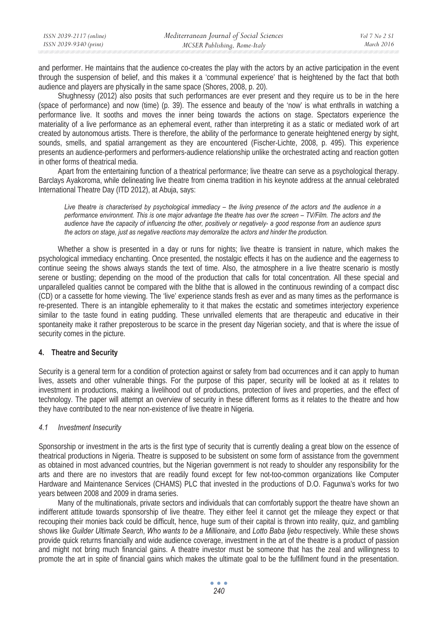| ISSN 2039-2117 (online) | Mediterranean Journal of Social Sciences | Vol 7 No 2 SI |
|-------------------------|------------------------------------------|---------------|
| ISSN 2039-9340 (print)  | MCSER Publishing, Rome-Italy             | March 2016    |

and performer. He maintains that the audience co-creates the play with the actors by an active participation in the event through the suspension of belief, and this makes it a 'communal experience' that is heightened by the fact that both audience and players are physically in the same space (Shores, 2008, p. 20).

Shughnessy (2012) also posits that such performances are ever present and they require us to be in the here (space of performance) and now (time) (p. 39). The essence and beauty of the 'now' is what enthralls in watching a performance live. It sooths and moves the inner being towards the actions on stage. Spectators experience the materiality of a live performance as an ephemeral event, rather than interpreting it as a static or mediated work of art created by autonomous artists. There is therefore, the ability of the performance to generate heightened energy by sight, sounds, smells, and spatial arrangement as they are encountered (Fischer-Lichte, 2008, p. 495). This experience presents an audience-performers and performers-audience relationship unlike the orchestrated acting and reaction gotten in other forms of theatrical media.

Apart from the entertaining function of a theatrical performance; live theatre can serve as a psychological therapy. Barclays Ayakoroma, while delineating live theatre from cinema tradition in his keynote address at the annual celebrated International Theatre Day (ITD 2012), at Abuja, says:

*Live theatre is characterised by psychological immediacy – the living presence of the actors and the audience in a performance environment. This is one major advantage the theatre has over the screen – TV/Film. The actors and the audience have the capacity of influencing the other, positively or negatively- a good response from an audience spurs the actors on stage, just as negative reactions may demoralize the actors and hinder the production.* 

Whether a show is presented in a day or runs for nights; live theatre is transient in nature, which makes the psychological immediacy enchanting. Once presented, the nostalgic effects it has on the audience and the eagerness to continue seeing the shows always stands the text of time. Also, the atmosphere in a live theatre scenario is mostly serene or bustling; depending on the mood of the production that calls for total concentration. All these special and unparalleled qualities cannot be compared with the blithe that is allowed in the continuous rewinding of a compact disc (CD) or a cassette for home viewing. The 'live' experience stands fresh as ever and as many times as the performance is re-presented. There is an intangible ephemerality to it that makes the ecstatic and sometimes interjectory experience similar to the taste found in eating pudding. These unrivalled elements that are therapeutic and educative in their spontaneity make it rather preposterous to be scarce in the present day Nigerian society, and that is where the issue of security comes in the picture.

#### **4. Theatre and Security**

Security is a general term for a condition of protection against or safety from bad occurrences and it can apply to human lives, assets and other vulnerable things. For the purpose of this paper, security will be looked at as it relates to investment in productions, making a livelihood out of productions, protection of lives and properties, and the effect of technology. The paper will attempt an overview of security in these different forms as it relates to the theatre and how they have contributed to the near non-existence of live theatre in Nigeria.

#### *4.1 Investment Insecurity*

Sponsorship or investment in the arts is the first type of security that is currently dealing a great blow on the essence of theatrical productions in Nigeria. Theatre is supposed to be subsistent on some form of assistance from the government as obtained in most advanced countries, but the Nigerian government is not ready to shoulder any responsibility for the arts and there are no investors that are readily found except for few not-too-common organizations like Computer Hardware and Maintenance Services (CHAMS) PLC that invested in the productions of D.O. Fagunwa's works for two years between 2008 and 2009 in drama series.

Many of the multinationals, private sectors and individuals that can comfortably support the theatre have shown an indifferent attitude towards sponsorship of live theatre. They either feel it cannot get the mileage they expect or that recouping their monies back could be difficult, hence, huge sum of their capital is thrown into reality, quiz, and gambling shows like *Guilder Ultimate Search*, *Who wants to be a Millionaire,* and *Lotto Baba Ijebu* respectively. While these shows provide quick returns financially and wide audience coverage, investment in the art of the theatre is a product of passion and might not bring much financial gains. A theatre investor must be someone that has the zeal and willingness to promote the art in spite of financial gains which makes the ultimate goal to be the fulfillment found in the presentation.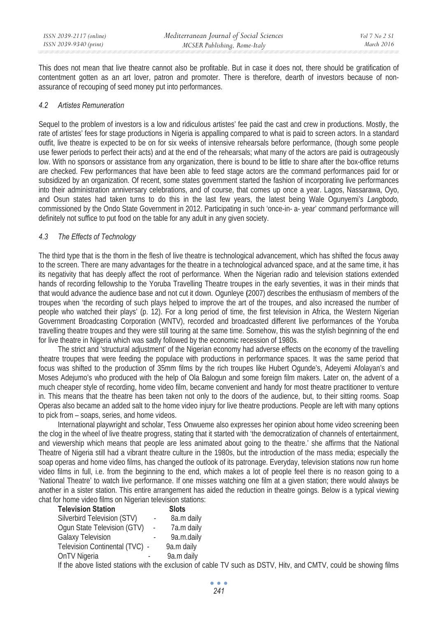This does not mean that live theatre cannot also be profitable. But in case it does not, there should be gratification of contentment gotten as an art lover, patron and promoter. There is therefore, dearth of investors because of nonassurance of recouping of seed money put into performances.

#### *4.2 Artistes Remuneration*

Sequel to the problem of investors is a low and ridiculous artistes' fee paid the cast and crew in productions. Mostly, the rate of artistes' fees for stage productions in Nigeria is appalling compared to what is paid to screen actors. In a standard outfit, live theatre is expected to be on for six weeks of intensive rehearsals before performance, (though some people use fewer periods to perfect their acts) and at the end of the rehearsals; what many of the actors are paid is outrageously low. With no sponsors or assistance from any organization, there is bound to be little to share after the box-office returns are checked. Few performances that have been able to feed stage actors are the command performances paid for or subsidized by an organization. Of recent, some states government started the fashion of incorporating live performances into their administration anniversary celebrations, and of course, that comes up once a year. Lagos, Nassarawa, Oyo, and Osun states had taken turns to do this in the last few years, the latest being Wale Ogunyemi's *Langbodo,* commissioned by the Ondo State Government in 2012. Participating in such 'once-in- a- year' command performance will definitely not suffice to put food on the table for any adult in any given society.

## *4.3 The Effects of Technology*

The third type that is the thorn in the flesh of live theatre is technological advancement, which has shifted the focus away to the screen. There are many advantages for the theatre in a technological advanced space, and at the same time, it has its negativity that has deeply affect the root of performance. When the Nigerian radio and television stations extended hands of recording fellowship to the Yoruba Travelling Theatre troupes in the early seventies, it was in their minds that that would advance the audience base and not cut it down. Ogunleye **(**2007) describes the enthusiasm of members of the troupes when 'the recording of such plays helped to improve the art of the troupes, and also increased the number of people who watched their plays' (p. 12). For a long period of time, the first television in Africa, the Western Nigerian Government Broadcasting Corporation (WNTV), recorded and broadcasted different live performances of the Yoruba travelling theatre troupes and they were still touring at the same time. Somehow, this was the stylish beginning of the end for live theatre in Nigeria which was sadly followed by the economic recession of 1980s.

The strict and 'structural adjustment' of the Nigerian economy had adverse effects on the economy of the travelling theatre troupes that were feeding the populace with productions in performance spaces. It was the same period that focus was shifted to the production of 35mm films by the rich troupes like Hubert Ogunde's, Adeyemi Afolayan's and Moses Adejumo's who produced with the help of Ola Balogun and some foreign film makers. Later on, the advent of a much cheaper style of recording, home video film, became convenient and handy for most theatre practitioner to venture in. This means that the theatre has been taken not only to the doors of the audience, but, to their sitting rooms. Soap Operas also became an added salt to the home video injury for live theatre productions. People are left with many options to pick from – soaps, series, and home videos.

International playwright and scholar, Tess Onwueme also expresses her opinion about home video screening been the clog in the wheel of live theatre progress, stating that it started with 'the democratization of channels of entertainment, and viewership which means that people are less animated about going to the theatre.' she affirms that the National Theatre of Nigeria still had a vibrant theatre culture in the 1980s, but the introduction of the mass media; especially the soap operas and home video films, has changed the outlook of its patronage. Everyday, television stations now run home video films in full, i.e. from the beginning to the end, which makes a lot of people feel there is no reason going to a 'National Theatre' to watch live performance. If one misses watching one film at a given station; there would always be another in a sister station. This entire arrangement has aided the reduction in theatre goings. Below is a typical viewing chat for home video films on Nigerian television stations:

| <b>Television Station</b>                                                                                        |        | <b>Slots</b> |  |  |
|------------------------------------------------------------------------------------------------------------------|--------|--------------|--|--|
| Silverbird Television (STV)                                                                                      | $\sim$ | 8a.m daily   |  |  |
| Ogun State Television (GTV) -                                                                                    |        | 7a.m daily   |  |  |
| <b>Galaxy Television</b>                                                                                         |        | 9a.m.daily   |  |  |
| Television Continental (TVC) -                                                                                   |        | 9a.m daily   |  |  |
| OnTV Nigeria                                                                                                     |        | 9a.m daily   |  |  |
| If the above listed stations with the exclusion of cable TV such as DSTV, Hitv, and CMTV, could be showing films |        |              |  |  |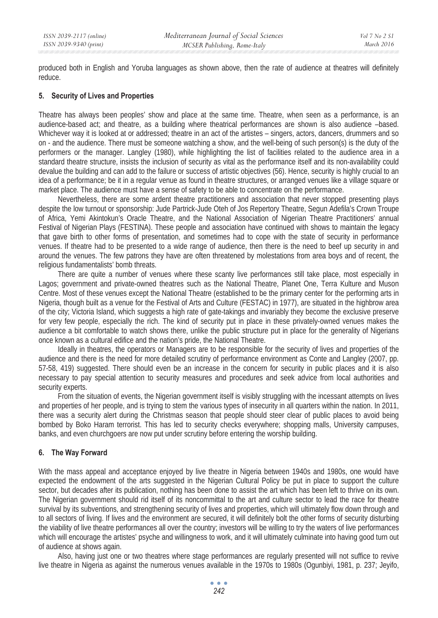produced both in English and Yoruba languages as shown above, then the rate of audience at theatres will definitely reduce.

## **5. Security of Lives and Properties**

Theatre has always been peoples' show and place at the same time. Theatre, when seen as a performance, is an audience-based act; and theatre, as a building where theatrical performances are shown is also audience –based. Whichever way it is looked at or addressed; theatre in an act of the artistes – singers, actors, dancers, drummers and so on - and the audience. There must be someone watching a show, and the well-being of such person(s) is the duty of the performers or the manager. Langley (1980), while highlighting the list of facilities related to the audience area in a standard theatre structure, insists the inclusion of security as vital as the performance itself and its non-availability could devalue the building and can add to the failure or success of artistic objectives (56). Hence, security is highly crucial to an idea of a performance; be it in a regular venue as found in theatre structures, or arranged venues like a village square or market place. The audience must have a sense of safety to be able to concentrate on the performance.

Nevertheless, there are some ardent theatre practitioners and association that never stopped presenting plays despite the low turnout or sponsorship: Jude Partrick-Jude Oteh of Jos Repertory Theatre, Segun Adefila's Crown Troupe of Africa, Yemi Akintokun's Oracle Theatre, and the National Association of Nigerian Theatre Practitioners' annual Festival of Nigerian Plays (FESTINA). These people and association have continued with shows to maintain the legacy that gave birth to other forms of presentation, and sometimes had to cope with the state of security in performance venues. If theatre had to be presented to a wide range of audience, then there is the need to beef up security in and around the venues. The few patrons they have are often threatened by molestations from area boys and of recent, the religious fundamentalists' bomb threats.

There are quite a number of venues where these scanty live performances still take place, most especially in Lagos; government and private-owned theatres such as the National Theatre, Planet One, Terra Kulture and Muson Centre. Most of these venues except the National Theatre (established to be the primary center for the performing arts in Nigeria, though built as a venue for the Festival of Arts and Culture (FESTAC) in 1977), are situated in the highbrow area of the city; Victoria Island, which suggests a high rate of gate-takings and invariably they become the exclusive preserve for very few people, especially the rich. The kind of security put in place in these privately-owned venues makes the audience a bit comfortable to watch shows there, unlike the public structure put in place for the generality of Nigerians once known as a cultural edifice and the nation's pride, the National Theatre.

Ideally in theatres, the operators or Managers are to be responsible for the security of lives and properties of the audience and there is the need for more detailed scrutiny of performance environment as Conte and Langley (2007, pp. 57-58, 419) suggested. There should even be an increase in the concern for security in public places and it is also necessary to pay special attention to security measures and procedures and seek advice from local authorities and security experts.

From the situation of events, the Nigerian government itself is visibly struggling with the incessant attempts on lives and properties of her people, and is trying to stem the various types of insecurity in all quarters within the nation. In 2011, there was a security alert during the Christmas season that people should steer clear of public places to avoid being bombed by Boko Haram terrorist. This has led to security checks everywhere; shopping malls, University campuses, banks, and even churchgoers are now put under scrutiny before entering the worship building.

## **6. The Way Forward**

With the mass appeal and acceptance enjoyed by live theatre in Nigeria between 1940s and 1980s, one would have expected the endowment of the arts suggested in the Nigerian Cultural Policy be put in place to support the culture sector, but decades after its publication, nothing has been done to assist the art which has been left to thrive on its own. The Nigerian government should rid itself of its noncommittal to the art and culture sector to lead the race for theatre survival by its subventions, and strengthening security of lives and properties, which will ultimately flow down through and to all sectors of living. If lives and the environment are secured, it will definitely bolt the other forms of security disturbing the viability of live theatre performances all over the country; investors will be willing to try the waters of live performances which will encourage the artistes' psyche and willingness to work, and it will ultimately culminate into having good turn out of audience at shows again.

Also, having just one or two theatres where stage performances are regularly presented will not suffice to revive live theatre in Nigeria as against the numerous venues available in the 1970s to 1980s (Ogunbiyi, 1981, p. 237; Jeyifo,